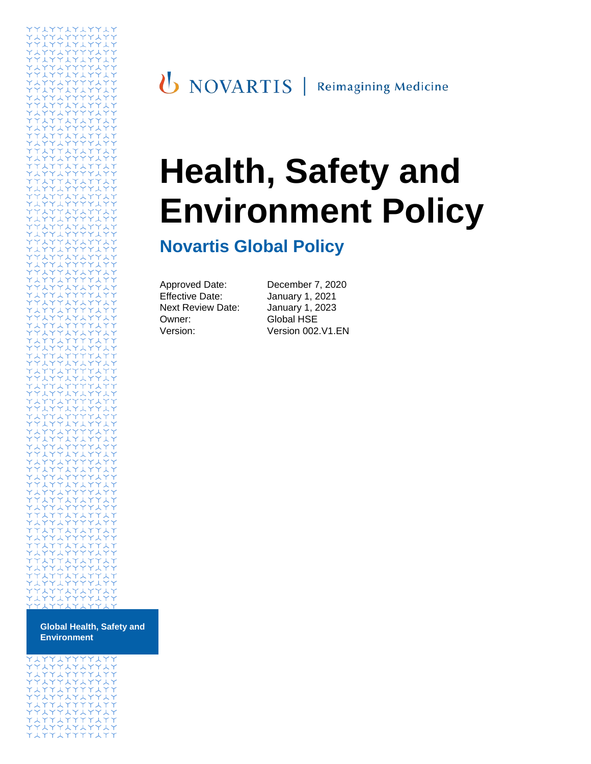# **Health, Safety and Environment Policy**

# **Novartis Global Policy**

| Approved Date:           |
|--------------------------|
| Effective Date:          |
| <b>Next Review Date:</b> |
| Owner:                   |
| Version:                 |

December 7, 2020 January 1, 2021 January 1, 2023 Global HSE Version: Version 002.V1.EN

**Global Health, Safety and Environment**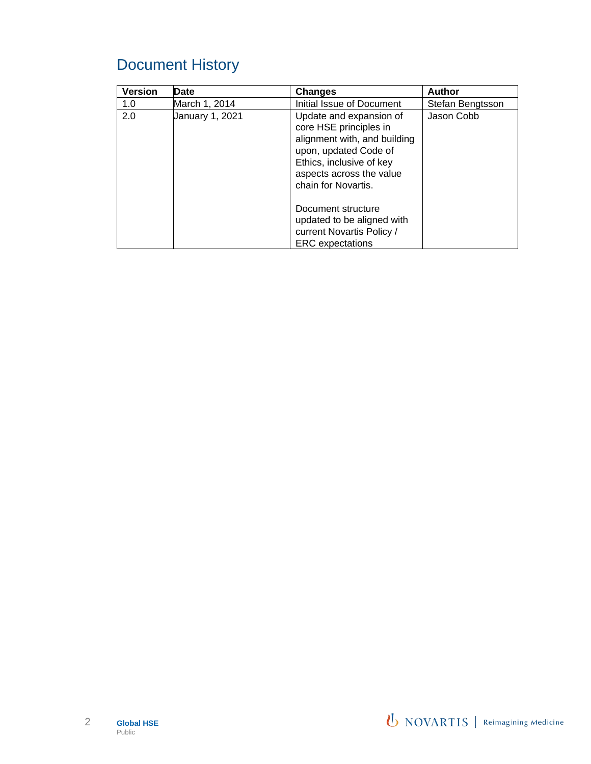# Document History

| <b>Version</b> | <b>Date</b>     | <b>Changes</b>                                                                                                                                                                            | <b>Author</b>    |
|----------------|-----------------|-------------------------------------------------------------------------------------------------------------------------------------------------------------------------------------------|------------------|
| 1.0            | March 1, 2014   | Initial Issue of Document                                                                                                                                                                 | Stefan Bengtsson |
| 2.0            | January 1, 2021 | Update and expansion of<br>core HSE principles in<br>alignment with, and building<br>upon, updated Code of<br>Ethics, inclusive of key<br>aspects across the value<br>chain for Novartis. | Jason Cobb       |
|                |                 | Document structure<br>updated to be aligned with<br>current Novartis Policy /<br><b>ERC</b> expectations                                                                                  |                  |

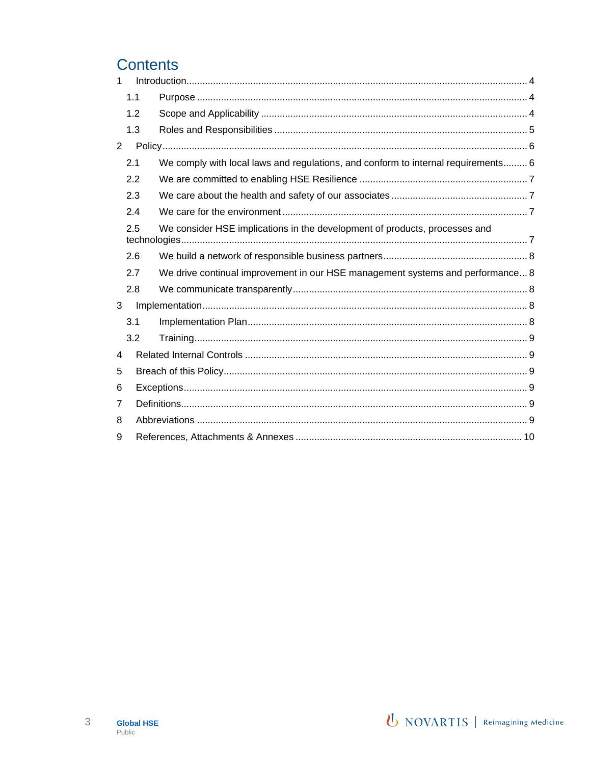# **Contents**

| 1 |     |                                                                                   |  |
|---|-----|-----------------------------------------------------------------------------------|--|
|   | 1.1 |                                                                                   |  |
|   | 1.2 |                                                                                   |  |
|   | 1.3 |                                                                                   |  |
| 2 |     |                                                                                   |  |
|   | 2.1 | We comply with local laws and regulations, and conform to internal requirements 6 |  |
|   | 2.2 |                                                                                   |  |
|   | 2.3 |                                                                                   |  |
|   | 2.4 |                                                                                   |  |
|   | 2.5 | We consider HSE implications in the development of products, processes and        |  |
|   | 2.6 |                                                                                   |  |
|   | 2.7 | We drive continual improvement in our HSE management systems and performance 8    |  |
|   | 2.8 |                                                                                   |  |
| 3 |     |                                                                                   |  |
|   | 3.1 |                                                                                   |  |
|   | 3.2 |                                                                                   |  |
| 4 |     |                                                                                   |  |
| 5 |     |                                                                                   |  |
| 6 |     |                                                                                   |  |
| 7 |     |                                                                                   |  |
| 8 |     |                                                                                   |  |
| 9 |     |                                                                                   |  |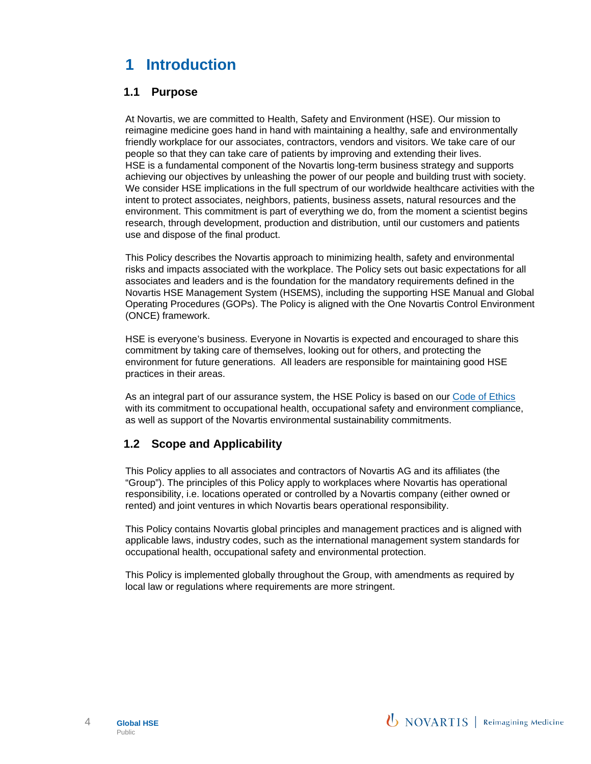# <span id="page-3-0"></span>**1 Introduction**

#### <span id="page-3-1"></span>**1.1 Purpose**

At Novartis, we are committed to Health, Safety and Environment (HSE). Our mission to reimagine medicine goes hand in hand with maintaining a healthy, safe and environmentally friendly workplace for our associates, contractors, vendors and visitors. We take care of our people so that they can take care of patients by improving and extending their lives. HSE is a fundamental component of the Novartis long-term business strategy and supports achieving our objectives by unleashing the power of our people and building trust with society. We consider HSE implications in the full spectrum of our worldwide healthcare activities with the intent to protect associates, neighbors, patients, business assets, natural resources and the environment. This commitment is part of everything we do, from the moment a scientist begins research, through development, production and distribution, until our customers and patients use and dispose of the final product.

This Policy describes the Novartis approach to minimizing health, safety and environmental risks and impacts associated with the workplace. The Policy sets out basic expectations for all associates and leaders and is the foundation for the mandatory requirements defined in the Novartis HSE Management System (HSEMS), including the supporting HSE Manual and Global Operating Procedures (GOPs). The Policy is aligned with the One Novartis Control Environment (ONCE) framework.

HSE is everyone's business. Everyone in Novartis is expected and encouraged to share this commitment by taking care of themselves, looking out for others, and protecting the environment for future generations. All leaders are responsible for maintaining good HSE practices in their areas.

As an integral part of our assurance system, the HSE Policy is based on our [Code of Ethics](https://share.novartis.net/sites/code-of-ethics) with its commitment to occupational health, occupational safety and environment compliance, as well as support of the Novartis environmental sustainability commitments.

#### <span id="page-3-2"></span>**1.2 Scope and Applicability**

This Policy applies to all associates and contractors of Novartis AG and its affiliates (the "Group"). The principles of this Policy apply to workplaces where Novartis has operational responsibility, i.e. locations operated or controlled by a Novartis company (either owned or rented) and joint ventures in which Novartis bears operational responsibility.

This Policy contains Novartis global principles and management practices and is aligned with applicable laws, industry codes, such as the international management system standards for occupational health, occupational safety and environmental protection.

This Policy is implemented globally throughout the Group, with amendments as required by local law or regulations where requirements are more stringent.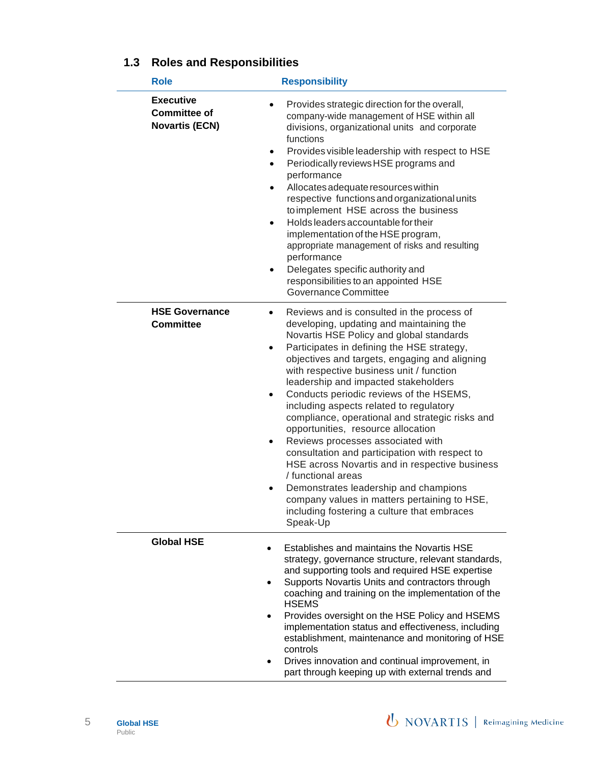| <b>Role</b>                                                      | <b>Responsibility</b>                                                                                                                                                                                                                                                                                                                                                                                                                                                                                                                                                                                                                                                                                                                                                                                                                                                                    |
|------------------------------------------------------------------|------------------------------------------------------------------------------------------------------------------------------------------------------------------------------------------------------------------------------------------------------------------------------------------------------------------------------------------------------------------------------------------------------------------------------------------------------------------------------------------------------------------------------------------------------------------------------------------------------------------------------------------------------------------------------------------------------------------------------------------------------------------------------------------------------------------------------------------------------------------------------------------|
| <b>Executive</b><br><b>Committee of</b><br><b>Novartis (ECN)</b> | Provides strategic direction for the overall,<br>company-wide management of HSE within all<br>divisions, organizational units and corporate<br>functions<br>Provides visible leadership with respect to HSE<br>٠<br>Periodically reviews HSE programs and<br>$\bullet$<br>performance<br>Allocates adequate resources within<br>$\bullet$<br>respective functions and organizational units<br>to implement HSE across the business<br>Holds leaders accountable for their<br>$\bullet$<br>implementation of the HSE program,<br>appropriate management of risks and resulting<br>performance<br>Delegates specific authority and<br>$\bullet$<br>responsibilities to an appointed HSE<br>Governance Committee                                                                                                                                                                            |
| <b>HSE Governance</b><br><b>Committee</b>                        | Reviews and is consulted in the process of<br>$\bullet$<br>developing, updating and maintaining the<br>Novartis HSE Policy and global standards<br>Participates in defining the HSE strategy,<br>$\bullet$<br>objectives and targets, engaging and aligning<br>with respective business unit / function<br>leadership and impacted stakeholders<br>Conducts periodic reviews of the HSEMS,<br>$\bullet$<br>including aspects related to regulatory<br>compliance, operational and strategic risks and<br>opportunities, resource allocation<br>Reviews processes associated with<br>$\bullet$<br>consultation and participation with respect to<br>HSE across Novartis and in respective business<br>/ functional areas<br>Demonstrates leadership and champions<br>$\bullet$<br>company values in matters pertaining to HSE,<br>including fostering a culture that embraces<br>Speak-Up |
| <b>Global HSE</b>                                                | Establishes and maintains the Novartis HSE<br>strategy, governance structure, relevant standards,<br>and supporting tools and required HSE expertise<br>Supports Novartis Units and contractors through<br>$\bullet$<br>coaching and training on the implementation of the<br><b>HSEMS</b><br>Provides oversight on the HSE Policy and HSEMS<br>implementation status and effectiveness, including<br>establishment, maintenance and monitoring of HSE<br>controls<br>Drives innovation and continual improvement, in<br>part through keeping up with external trends and                                                                                                                                                                                                                                                                                                                |

## <span id="page-4-0"></span>**1.3 Roles and Responsibilities**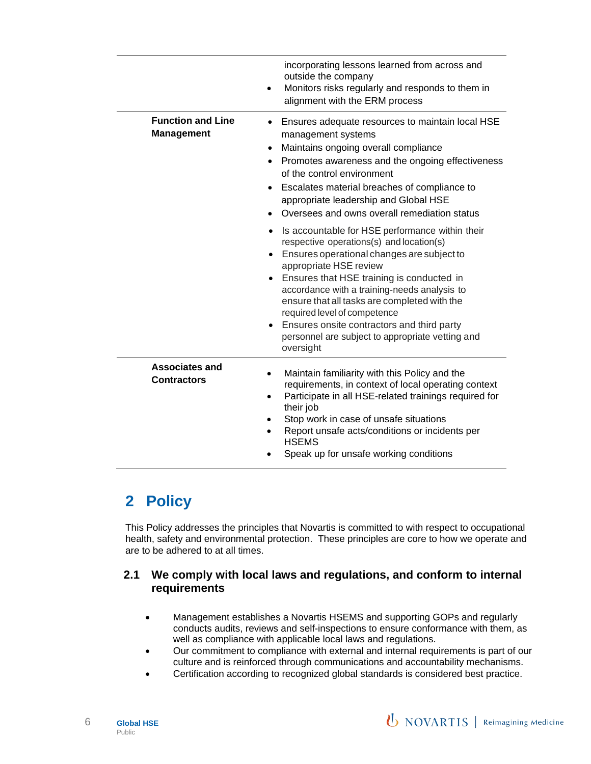|                                               | incorporating lessons learned from across and<br>outside the company<br>Monitors risks regularly and responds to them in<br>$\bullet$<br>alignment with the ERM process                                                                                                                                                                                                                                                                                                      |
|-----------------------------------------------|------------------------------------------------------------------------------------------------------------------------------------------------------------------------------------------------------------------------------------------------------------------------------------------------------------------------------------------------------------------------------------------------------------------------------------------------------------------------------|
| <b>Function and Line</b><br><b>Management</b> | Ensures adequate resources to maintain local HSE<br>٠<br>management systems<br>Maintains ongoing overall compliance<br>$\bullet$<br>Promotes awareness and the ongoing effectiveness<br>of the control environment<br>Escalates material breaches of compliance to<br>$\bullet$<br>appropriate leadership and Global HSE<br>Oversees and owns overall remediation status<br>$\bullet$                                                                                        |
|                                               | Is accountable for HSE performance within their<br>$\bullet$<br>respective operations(s) and location(s)<br>Ensures operational changes are subject to<br>appropriate HSE review<br>Ensures that HSE training is conducted in<br>accordance with a training-needs analysis to<br>ensure that all tasks are completed with the<br>required level of competence<br>Ensures onsite contractors and third party<br>personnel are subject to appropriate vetting and<br>oversight |
| <b>Associates and</b><br><b>Contractors</b>   | Maintain familiarity with this Policy and the<br>$\bullet$<br>requirements, in context of local operating context<br>Participate in all HSE-related trainings required for<br>٠<br>their job<br>Stop work in case of unsafe situations<br>٠<br>Report unsafe acts/conditions or incidents per<br><b>HSEMS</b><br>Speak up for unsafe working conditions                                                                                                                      |

## <span id="page-5-0"></span>**2 Policy**

This Policy addresses the principles that Novartis is committed to with respect to occupational health, safety and environmental protection. These principles are core to how we operate and are to be adhered to at all times.

#### <span id="page-5-1"></span>**2.1 We comply with local laws and regulations, and conform to internal requirements**

- Management establishes a Novartis HSEMS and supporting GOPs and regularly conducts audits, reviews and self-inspections to ensure conformance with them, as well as compliance with applicable local laws and regulations.
- Our commitment to compliance with external and internal requirements is part of our culture and is reinforced through communications and accountability mechanisms.
- Certification according to recognized global standards is considered best practice.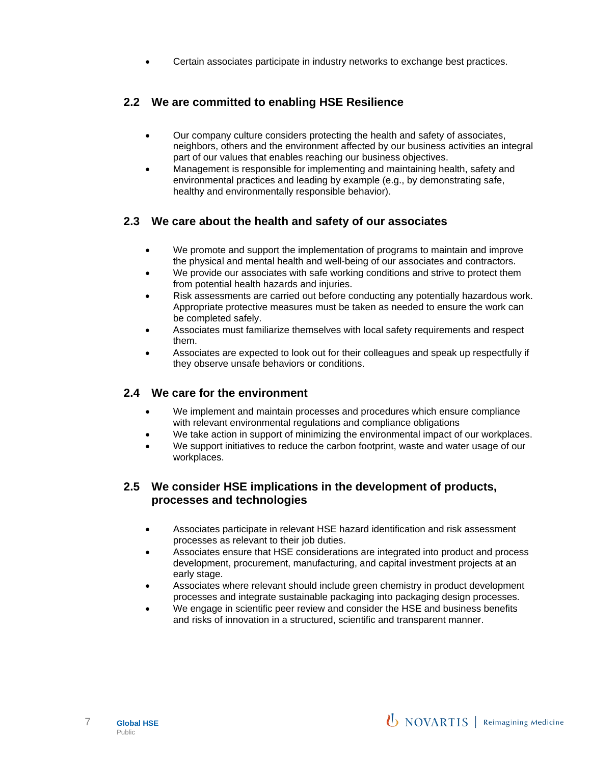• Certain associates participate in industry networks to exchange best practices.

#### <span id="page-6-0"></span>**2.2 We are committed to enabling HSE Resilience**

- Our company culture considers protecting the health and safety of associates, neighbors, others and the environment affected by our business activities an integral part of our values that enables reaching our business objectives.
- Management is responsible for implementing and maintaining health, safety and environmental practices and leading by example (e.g., by demonstrating safe, healthy and environmentally responsible behavior).

#### <span id="page-6-1"></span>**2.3 We care about the health and safety of our associates**

- We promote and support the implementation of programs to maintain and improve the physical and mental health and well-being of our associates and contractors.
- We provide our associates with safe working conditions and strive to protect them from potential health hazards and injuries.
- Risk assessments are carried out before conducting any potentially hazardous work. Appropriate protective measures must be taken as needed to ensure the work can be completed safely.
- Associates must familiarize themselves with local safety requirements and respect them.
- Associates are expected to look out for their colleagues and speak up respectfully if they observe unsafe behaviors or conditions.

#### <span id="page-6-2"></span>**2.4 We care for the environment**

- We implement and maintain processes and procedures which ensure compliance with relevant environmental regulations and compliance obligations
- We take action in support of minimizing the environmental impact of our workplaces.
- We support initiatives to reduce the carbon footprint, waste and water usage of our workplaces.

#### <span id="page-6-3"></span>**2.5 We consider HSE implications in the development of products, processes and technologies**

- Associates participate in relevant HSE hazard identification and risk assessment processes as relevant to their job duties.
- Associates ensure that HSE considerations are integrated into product and process development, procurement, manufacturing, and capital investment projects at an early stage.
- Associates where relevant should include green chemistry in product development processes and integrate sustainable packaging into packaging design processes.
- We engage in scientific peer review and consider the HSE and business benefits and risks of innovation in a structured, scientific and transparent manner.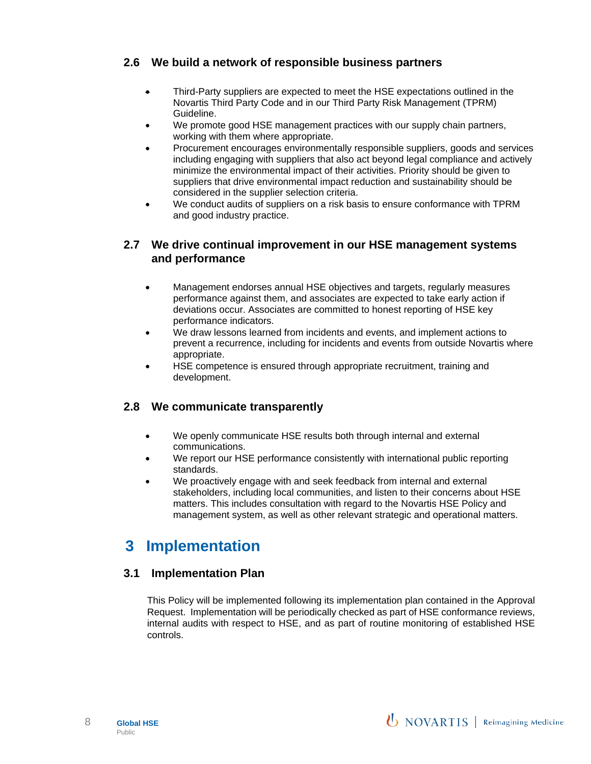#### <span id="page-7-0"></span>**2.6 We build a network of responsible business partners**

- Third-Party suppliers are expected to meet the HSE expectations outlined in the Novartis Third Party Code and in our Third Party Risk Management (TPRM) Guideline.
- We promote good HSE management practices with our supply chain partners, working with them where appropriate.
- Procurement encourages environmentally responsible suppliers, goods and services including engaging with suppliers that also act beyond legal compliance and actively minimize the environmental impact of their activities. Priority should be given to suppliers that drive environmental impact reduction and sustainability should be considered in the supplier selection criteria.
- We conduct audits of suppliers on a risk basis to ensure conformance with TPRM and good industry practice.

#### <span id="page-7-1"></span>**2.7 We drive continual improvement in our HSE management systems and performance**

- Management endorses annual HSE objectives and targets, regularly measures performance against them, and associates are expected to take early action if deviations occur. Associates are committed to honest reporting of HSE key performance indicators.
- We draw lessons learned from incidents and events, and implement actions to prevent a recurrence, including for incidents and events from outside Novartis where appropriate.
- HSE competence is ensured through appropriate recruitment, training and development.

#### <span id="page-7-2"></span>**2.8 We communicate transparently**

- We openly communicate HSE results both through internal and external communications.
- We report our HSE performance consistently with international public reporting standards.
- We proactively engage with and seek feedback from internal and external stakeholders, including local communities, and listen to their concerns about HSE matters. This includes consultation with regard to the Novartis HSE Policy and management system, as well as other relevant strategic and operational matters.

## <span id="page-7-3"></span>**3 Implementation**

#### <span id="page-7-4"></span>**3.1 Implementation Plan**

This Policy will be implemented following its implementation plan contained in the Approval Request. Implementation will be periodically checked as part of HSE conformance reviews, internal audits with respect to HSE, and as part of routine monitoring of established HSE controls.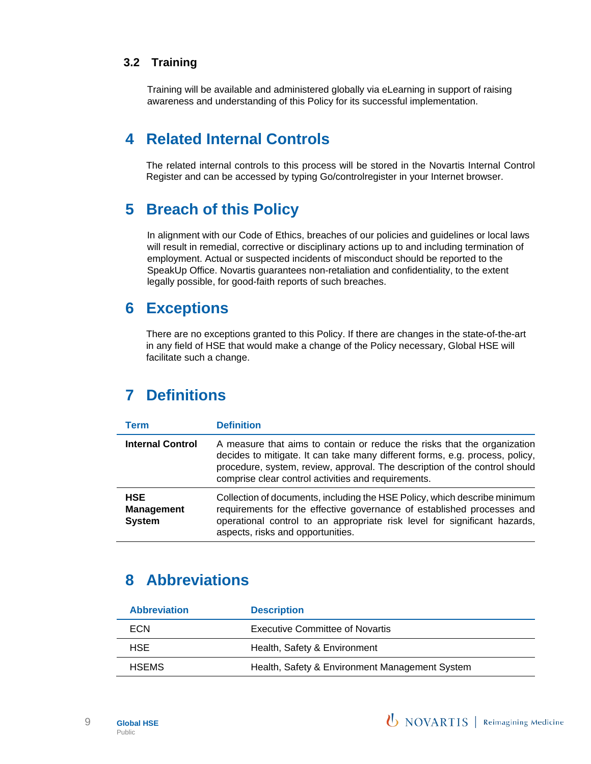#### <span id="page-8-0"></span>**3.2 Training**

Training will be available and administered globally via eLearning in support of raising awareness and understanding of this Policy for its successful implementation.

## <span id="page-8-1"></span>**4 Related Internal Controls**

The related internal controls to this process will be stored in the Novartis Internal Control Register and can be accessed by typing Go/controlregister in your Internet browser.

## <span id="page-8-2"></span>**5 Breach of this Policy**

In alignment with our Code of Ethics, breaches of our policies and guidelines or local laws will result in remedial, corrective or disciplinary actions up to and including termination of employment. Actual or suspected incidents of misconduct should be reported to the SpeakUp Office. Novartis guarantees non-retaliation and confidentiality, to the extent legally possible, for good-faith reports of such breaches.

### <span id="page-8-3"></span>**6 Exceptions**

There are no exceptions granted to this Policy. If there are changes in the state-of-the-art in any field of HSE that would make a change of the Policy necessary, Global HSE will facilitate such a change.

## <span id="page-8-4"></span>**7 Definitions**

| <b>Term</b>                                      | <b>Definition</b>                                                                                                                                                                                                                                                                             |
|--------------------------------------------------|-----------------------------------------------------------------------------------------------------------------------------------------------------------------------------------------------------------------------------------------------------------------------------------------------|
| <b>Internal Control</b>                          | A measure that aims to contain or reduce the risks that the organization<br>decides to mitigate. It can take many different forms, e.g. process, policy,<br>procedure, system, review, approval. The description of the control should<br>comprise clear control activities and requirements. |
| <b>HSE</b><br><b>Management</b><br><b>System</b> | Collection of documents, including the HSE Policy, which describe minimum<br>requirements for the effective governance of established processes and<br>operational control to an appropriate risk level for significant hazards,<br>aspects, risks and opportunities.                         |

## <span id="page-8-5"></span>**8 Abbreviations**

| <b>Abbreviation</b> | <b>Description</b>                             |
|---------------------|------------------------------------------------|
| ECN                 | <b>Executive Committee of Novartis</b>         |
| HSE.                | Health, Safety & Environment                   |
| <b>HSEMS</b>        | Health, Safety & Environment Management System |